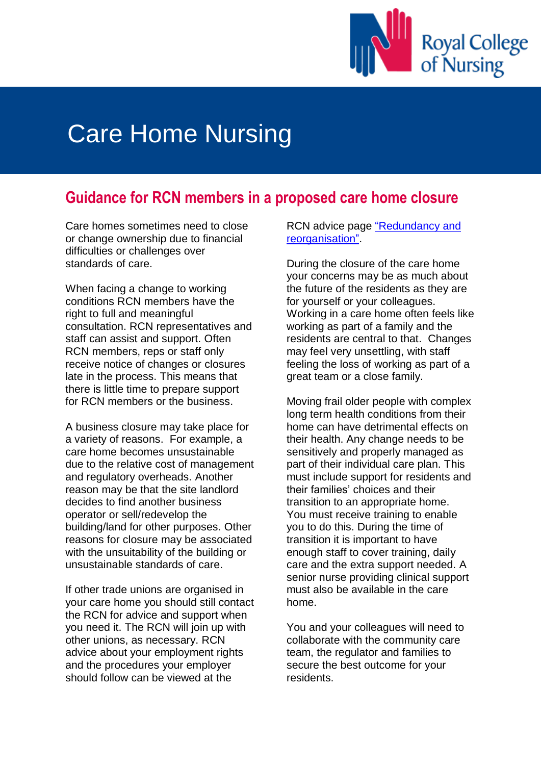

## Care Home Nursing

## **Guidance for RCN members in a proposed care home closure**

Care homes sometimes need to close or change ownership due to financial difficulties or challenges over standards of care.

When facing a change to working conditions RCN members have the right to full and meaningful consultation. RCN representatives and staff can assist and support. Often RCN members, reps or staff only receive notice of changes or closures late in the process. This means that there is little time to prepare support for RCN members or the business.

A business closure may take place for a variety of reasons. For example, a care home becomes unsustainable due to the relative cost of management and regulatory overheads. Another reason may be that the site landlord decides to find another business operator or sell/redevelop the building/land for other purposes. Other reasons for closure may be associated with the unsuitability of the building or unsustainable standards of care.

If other trade unions are organised in your care home you should still contact the RCN for advice and support when you need it. The RCN will join up with other unions, as necessary. RCN advice about your employment rights and the procedures your employer should follow can be viewed at the

RCN advice page ["Redundancy and](https://www.rcn.org.uk/get-help/rcn-advice/redundancy-and-reorganisation)  [reorganisation".](https://www.rcn.org.uk/get-help/rcn-advice/redundancy-and-reorganisation)

During the closure of the care home your concerns may be as much about the future of the residents as they are for yourself or your colleagues. Working in a care home often feels like working as part of a family and the residents are central to that. Changes may feel very unsettling, with staff feeling the loss of working as part of a great team or a close family.

Moving frail older people with complex long term health conditions from their home can have detrimental effects on their health. Any change needs to be sensitively and properly managed as part of their individual care plan. This must include support for residents and their families' choices and their transition to an appropriate home. You must receive training to enable you to do this. During the time of transition it is important to have enough staff to cover training, daily care and the extra support needed. A senior nurse providing clinical support must also be available in the care home.

You and your colleagues will need to collaborate with the community care team, the regulator and families to secure the best outcome for your residents.